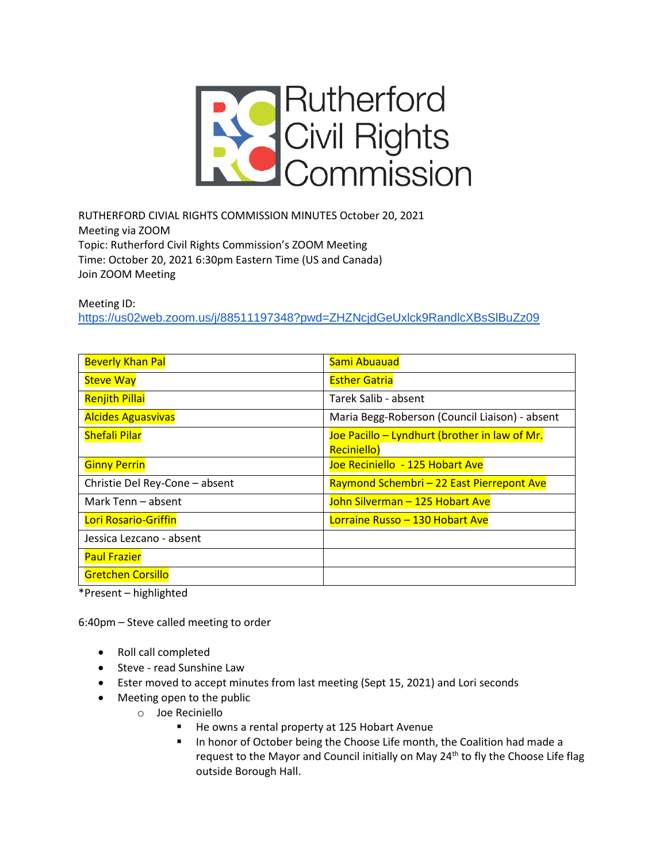

RUTHERFORD CIVIAL RIGHTS COMMISSION MINUTES October 20, 2021 Meeting via ZOOM Topic: Rutherford Civil Rights Commission's ZOOM Meeting Time: October 20, 2021 6:30pm Eastern Time (US and Canada) Join ZOOM Meeting

Meeting ID:

<https://us02web.zoom.us/j/88511197348?pwd=ZHZNcjdGeUxlck9RandlcXBsSlBuZz09>

| <b>Beverly Khan Pal</b>        | Sami Abuauad                                   |
|--------------------------------|------------------------------------------------|
| <b>Steve Way</b>               | <b>Esther Gatria</b>                           |
| <b>Renjith Pillai</b>          | Tarek Salib - absent                           |
| <b>Alcides Aguasvivas</b>      | Maria Begg-Roberson (Council Liaison) - absent |
| <b>Shefali Pilar</b>           | Joe Pacillo - Lyndhurt (brother in law of Mr.  |
|                                | <b>Reciniello)</b>                             |
| <b>Ginny Perrin</b>            | Joe Reciniello - 125 Hobart Ave                |
| Christie Del Rey-Cone - absent | Raymond Schembri - 22 East Pierrepont Ave      |
| Mark Tenn – absent             | John Silverman - 125 Hobart Ave                |
| Lori Rosario-Griffin           | Lorraine Russo - 130 Hobart Ave                |
| Jessica Lezcano - absent       |                                                |
| <b>Paul Frazier</b>            |                                                |
| <b>Gretchen Corsillo</b>       |                                                |

\*Present – highlighted

6:40pm – Steve called meeting to order

- Roll call completed
- Steve read Sunshine Law
- Ester moved to accept minutes from last meeting (Sept 15, 2021) and Lori seconds
- Meeting open to the public
	- o Joe Reciniello
		- He owns a rental property at 125 Hobart Avenue
		- In honor of October being the Choose Life month, the Coalition had made a request to the Mayor and Council initially on May 24<sup>th</sup> to fly the Choose Life flag outside Borough Hall.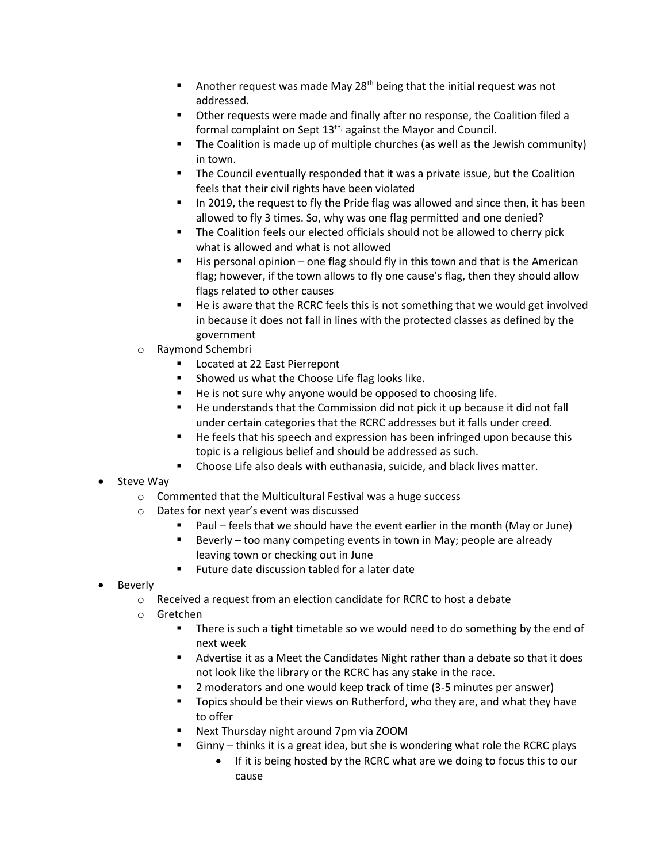- **■** Another request was made May 28<sup>th</sup> being that the initial request was not addressed.
- Other requests were made and finally after no response, the Coalition filed a formal complaint on Sept 13<sup>th,</sup> against the Mayor and Council.
- The Coalition is made up of multiple churches (as well as the Jewish community) in town.
- The Council eventually responded that it was a private issue, but the Coalition feels that their civil rights have been violated
- In 2019, the request to fly the Pride flag was allowed and since then, it has been allowed to fly 3 times. So, why was one flag permitted and one denied?
- The Coalition feels our elected officials should not be allowed to cherry pick what is allowed and what is not allowed
- His personal opinion one flag should fly in this town and that is the American flag; however, if the town allows to fly one cause's flag, then they should allow flags related to other causes
- He is aware that the RCRC feels this is not something that we would get involved in because it does not fall in lines with the protected classes as defined by the government
- o Raymond Schembri
	- Located at 22 East Pierrepont
	- Showed us what the Choose Life flag looks like.
	- He is not sure why anyone would be opposed to choosing life.
	- He understands that the Commission did not pick it up because it did not fall under certain categories that the RCRC addresses but it falls under creed.
	- He feels that his speech and expression has been infringed upon because this topic is a religious belief and should be addressed as such.
	- Choose Life also deals with euthanasia, suicide, and black lives matter.
- Steve Way
	- o Commented that the Multicultural Festival was a huge success
	- o Dates for next year's event was discussed
		- Paul feels that we should have the event earlier in the month (May or June)
		- Beverly too many competing events in town in May; people are already leaving town or checking out in June
		- Future date discussion tabled for a later date
- **Beverly** 
	- o Received a request from an election candidate for RCRC to host a debate
	- o Gretchen
		- **■** There is such a tight timetable so we would need to do something by the end of next week
		- Advertise it as a Meet the Candidates Night rather than a debate so that it does not look like the library or the RCRC has any stake in the race.
		- 2 moderators and one would keep track of time (3-5 minutes per answer)
		- Topics should be their views on Rutherford, who they are, and what they have to offer
		- Next Thursday night around 7pm via ZOOM
		- Ginny thinks it is a great idea, but she is wondering what role the RCRC plays
			- If it is being hosted by the RCRC what are we doing to focus this to our cause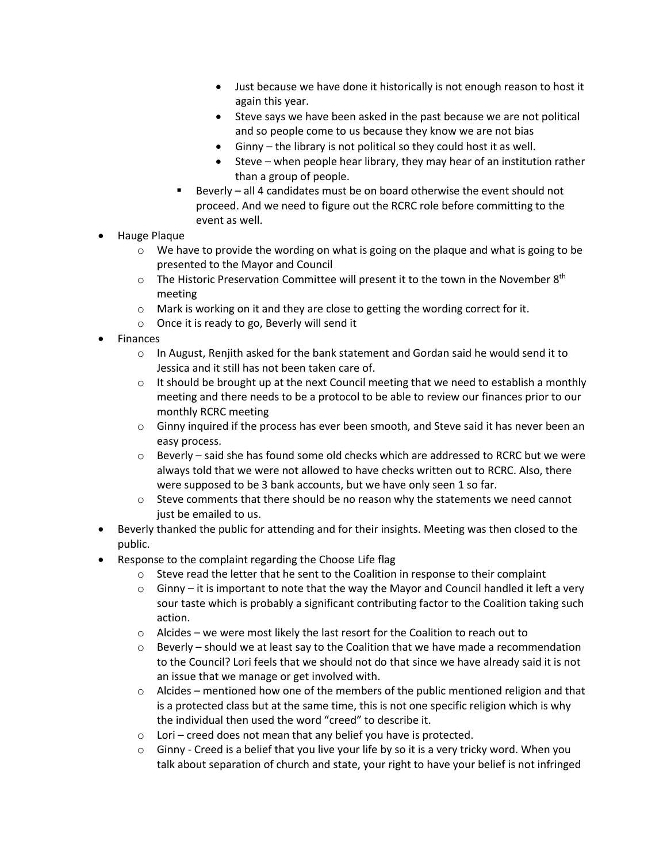- Just because we have done it historically is not enough reason to host it again this year.
- Steve says we have been asked in the past because we are not political and so people come to us because they know we are not bias
- Ginny the library is not political so they could host it as well.
- Steve when people hear library, they may hear of an institution rather than a group of people.
- Beverly all 4 candidates must be on board otherwise the event should not proceed. And we need to figure out the RCRC role before committing to the event as well.
- Hauge Plaque
	- $\circ$  We have to provide the wording on what is going on the plaque and what is going to be presented to the Mayor and Council
	- $\circ$  The Historic Preservation Committee will present it to the town in the November 8<sup>th</sup> meeting
	- o Mark is working on it and they are close to getting the wording correct for it.
	- o Once it is ready to go, Beverly will send it
- Finances
	- $\circ$  In August, Renjith asked for the bank statement and Gordan said he would send it to Jessica and it still has not been taken care of.
	- $\circ$  It should be brought up at the next Council meeting that we need to establish a monthly meeting and there needs to be a protocol to be able to review our finances prior to our monthly RCRC meeting
	- $\circ$  Ginny inquired if the process has ever been smooth, and Steve said it has never been an easy process.
	- $\circ$  Beverly said she has found some old checks which are addressed to RCRC but we were always told that we were not allowed to have checks written out to RCRC. Also, there were supposed to be 3 bank accounts, but we have only seen 1 so far.
	- $\circ$  Steve comments that there should be no reason why the statements we need cannot just be emailed to us.
- Beverly thanked the public for attending and for their insights. Meeting was then closed to the public.
- Response to the complaint regarding the Choose Life flag
	- o Steve read the letter that he sent to the Coalition in response to their complaint
	- $\circ$  Ginny it is important to note that the way the Mayor and Council handled it left a very sour taste which is probably a significant contributing factor to the Coalition taking such action.
	- $\circ$  Alcides we were most likely the last resort for the Coalition to reach out to
	- $\circ$  Beverly should we at least say to the Coalition that we have made a recommendation to the Council? Lori feels that we should not do that since we have already said it is not an issue that we manage or get involved with.
	- $\circ$  Alcides mentioned how one of the members of the public mentioned religion and that is a protected class but at the same time, this is not one specific religion which is why the individual then used the word "creed" to describe it.
	- $\circ$  Lori creed does not mean that any belief you have is protected.
	- $\circ$  Ginny Creed is a belief that you live your life by so it is a very tricky word. When you talk about separation of church and state, your right to have your belief is not infringed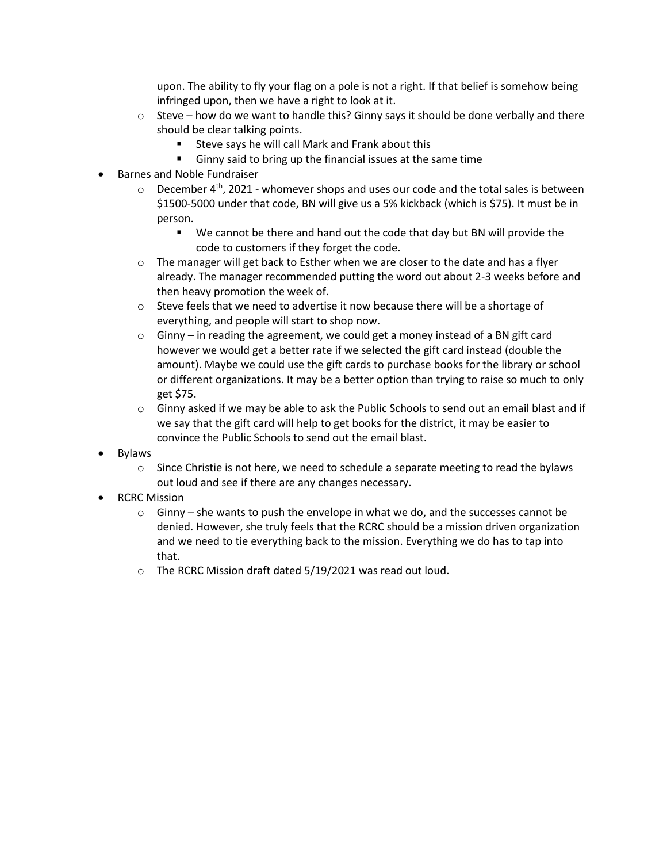upon. The ability to fly your flag on a pole is not a right. If that belief is somehow being infringed upon, then we have a right to look at it.

- $\circ$  Steve how do we want to handle this? Ginny says it should be done verbally and there should be clear talking points.
	- Steve says he will call Mark and Frank about this
	- Ginny said to bring up the financial issues at the same time
- Barnes and Noble Fundraiser
	- $\circ$  December 4<sup>th</sup>, 2021 whomever shops and uses our code and the total sales is between \$1500-5000 under that code, BN will give us a 5% kickback (which is \$75). It must be in person.
		- We cannot be there and hand out the code that day but BN will provide the code to customers if they forget the code.
	- $\circ$  The manager will get back to Esther when we are closer to the date and has a flyer already. The manager recommended putting the word out about 2-3 weeks before and then heavy promotion the week of.
	- o Steve feels that we need to advertise it now because there will be a shortage of everything, and people will start to shop now.
	- $\circ$  Ginny in reading the agreement, we could get a money instead of a BN gift card however we would get a better rate if we selected the gift card instead (double the amount). Maybe we could use the gift cards to purchase books for the library or school or different organizations. It may be a better option than trying to raise so much to only get \$75.
	- $\circ$  Ginny asked if we may be able to ask the Public Schools to send out an email blast and if we say that the gift card will help to get books for the district, it may be easier to convince the Public Schools to send out the email blast.
- **Bylaws** 
	- $\circ$  Since Christie is not here, we need to schedule a separate meeting to read the bylaws out loud and see if there are any changes necessary.
- RCRC Mission
	- $\circ$  Ginny she wants to push the envelope in what we do, and the successes cannot be denied. However, she truly feels that the RCRC should be a mission driven organization and we need to tie everything back to the mission. Everything we do has to tap into that.
	- o The RCRC Mission draft dated 5/19/2021 was read out loud.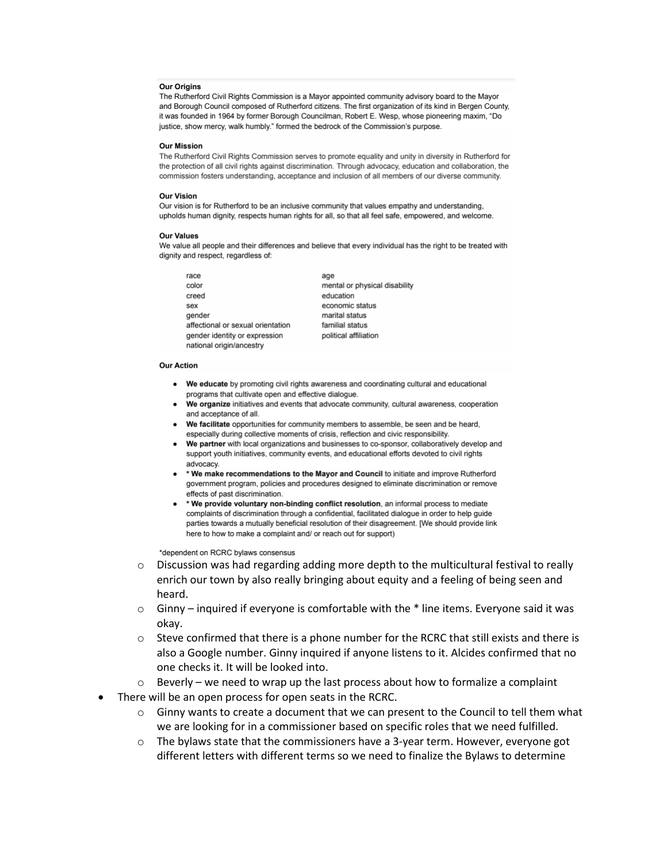# **Our Origins**

The Rutherford Civil Rights Commission is a Mayor appointed community advisory board to the Mayor and Borough Council composed of Rutherford citizens. The first organization of its kind in Bergen County, it was founded in 1964 by former Borough Councilman, Robert E. Wesp, whose pioneering maxim, "Do justice, show mercy, walk humbly." formed the bedrock of the Commission's purpose.

## **Our Mission**

The Rutherford Civil Rights Commission serves to promote equality and unity in diversity in Rutherford for the protection of all civil rights against discrimination. Through advocacy, education and collaboration, the commission fosters understanding, acceptance and inclusion of all members of our diverse community.

# **Our Vision**

Our vision is for Rutherford to be an inclusive community that values empathy and understanding, upholds human dignity, respects human rights for all, so that all feel safe, empowered, and welcome.

## **Our Values**

We value all people and their differences and believe that every individual has the right to be treated with dignity and respect, regardless of:

race age color creed sex gender affectional or sexual orientation gender identity or expression national origin/ancestry

mental or physical disability education economic status marital status familial status political affiliation

## **Our Action**

- We educate by promoting civil rights awareness and coordinating cultural and educational programs that cultivate open and effective dialogue.
- We organize initiatives and events that advocate community, cultural awareness, cooperation and acceptance of all.
- We facilitate opportunities for community members to assemble, be seen and be heard, especially during collective moments of crisis, reflection and civic responsibility.
- We partner with local organizations and businesses to co-sponsor, collaboratively develop and support youth initiatives, community events, and educational efforts devoted to civil rights advocacy.
- \* We make recommendations to the Mayor and Council to initiate and improve Rutherford government program, policies and procedures designed to eliminate discrimination or remove effects of past discrimination.
- \* We provide voluntary non-binding conflict resolution, an informal process to mediate complaints of discrimination through a confidential, facilitated dialogue in order to help guide parties towards a mutually beneficial resolution of their disagreement. [We should provide link here to how to make a complaint and/ or reach out for support)

\*dependent on RCRC bylaws consensus

- $\circ$  Discussion was had regarding adding more depth to the multicultural festival to really enrich our town by also really bringing about equity and a feeling of being seen and heard.
- $\circ$  Ginny inquired if everyone is comfortable with the  $*$  line items. Everyone said it was okay.
- $\circ$  Steve confirmed that there is a phone number for the RCRC that still exists and there is also a Google number. Ginny inquired if anyone listens to it. Alcides confirmed that no one checks it. It will be looked into.
- $\circ$  Beverly we need to wrap up the last process about how to formalize a complaint
- There will be an open process for open seats in the RCRC.
	- $\circ$  Ginny wants to create a document that we can present to the Council to tell them what we are looking for in a commissioner based on specific roles that we need fulfilled.
	- $\circ$  The bylaws state that the commissioners have a 3-year term. However, everyone got different letters with different terms so we need to finalize the Bylaws to determine